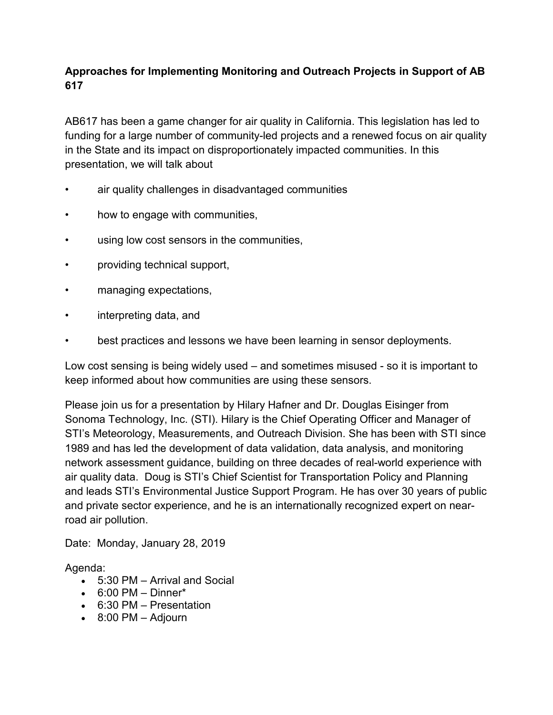# **Approaches for Implementing Monitoring and Outreach Projects in Support of AB 617**

AB617 has been a game changer for air quality in California. This legislation has led to funding for a large number of community-led projects and a renewed focus on air quality in the State and its impact on disproportionately impacted communities. In this presentation, we will talk about

- air quality challenges in disadvantaged communities
- how to engage with communities,
- using low cost sensors in the communities,
- providing technical support,
- managing expectations,
- interpreting data, and
- best practices and lessons we have been learning in sensor deployments.

Low cost sensing is being widely used – and sometimes misused - so it is important to keep informed about how communities are using these sensors.

Please join us for a presentation by Hilary Hafner and Dr. Douglas Eisinger from Sonoma Technology, Inc. (STI). Hilary is the Chief Operating Officer and Manager of STI's Meteorology, Measurements, and Outreach Division. She has been with STI since 1989 and has led the development of data validation, data analysis, and monitoring network assessment guidance, building on three decades of real-world experience with air quality data. Doug is STI's Chief Scientist for Transportation Policy and Planning and leads STI's Environmental Justice Support Program. He has over 30 years of public and private sector experience, and he is an internationally recognized expert on nearroad air pollution.

Date: Monday, January 28, 2019

Agenda:

- 5:30 PM Arrival and Social
- $\bullet$  6:00 PM Dinner\*
- 6:30 PM Presentation
- 8:00 PM Adjourn